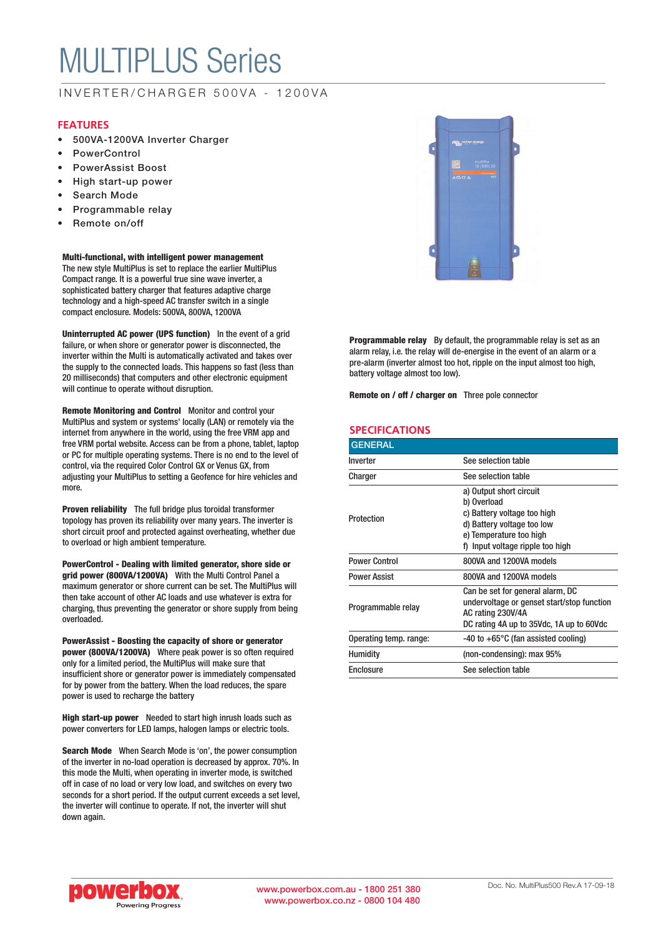## MULTIPLUS Series

## IN VERTER/ CHARGER 500 VA - 1200 VA

#### **FEATURES**

- 500VA-1200VA Inverter Charger
- PowerControl
- PowerAssist Boost
- High start-up power
- Search Mode
- Programmable relay
- Remote on/off

**Multi-functional, with intelligent power management**

The new style MultiPlus is set to replace the earlier MultiPlus Compact range. It is a powerful true sine wave inverter, a sophisticated battery charger that features adaptive charge technology and a high-speed AC transfer switch in a single compact enclosure. Models: 500VA, 800VA, 1200VA

**Uninterrupted AC power (UPS function)** In the event of a grid failure, or when shore or generator power is disconnected, the inverter within the Multi is automatically activated and takes over the supply to the connected loads. This happens so fast (less than 20 milliseconds) that computers and other electronic equipment will continue to operate without disruption.

**Remote Monitoring and Control** Monitor and control your MultiPlus and system or systems' locally (LAN) or remotely via the internet from anywhere in the world, using the free VRM app and free VRM portal website. Access can be from a phone, tablet, laptop or PC for multiple operating systems. There is no end to the level of control, via the required Color Control GX or Venus GX, from adjusting your MultiPlus to setting a Geofence for hire vehicles and more.

**Proven reliability** The full bridge plus toroidal transformer topology has proven its reliability over many years. The inverter is short circuit proof and protected against overheating, whether due to overload or high ambient temperature.

**PowerControl - Dealing with limited generator, shore side or grid power (800VA/1200VA)** With the Multi Control Panel a maximum generator or shore current can be set. The MultiPlus will then take account of other AC loads and use whatever is extra for charging, thus preventing the generator or shore supply from being overloaded.

**PowerAssist - Boosting the capacity of shore or generator power (800VA/1200VA)** Where peak power is so often required only for a limited period, the MultiPlus will make sure that insufficient shore or generator power is immediately compensated for by power from the battery. When the load reduces, the spare power is used to recharge the battery

**High start-up power** Needed to start high inrush loads such as power converters for LED lamps, halogen lamps or electric tools.

**Search Mode** When Search Mode is 'on', the power consumption of the inverter in no-load operation is decreased by approx. 70%. In this mode the Multi, when operating in inverter mode, is switched off in case of no load or very low load, and switches on every two seconds for a short period. If the output current exceeds a set level, the inverter will continue to operate. If not, the inverter will shut down again.



**Programmable relay** By default, the programmable relay is set as an alarm relay, i.e. the relay will de-energise in the event of an alarm or a pre-alarm (inverter almost too hot, ripple on the input almost too high, battery voltage almost too low).

**Remote on / off / charger on** Three pole connector

### **SPECIFICATIONS**

| <b>GENERAL</b>         |                                                                                                                                                                 |
|------------------------|-----------------------------------------------------------------------------------------------------------------------------------------------------------------|
| Inverter               | See selection table                                                                                                                                             |
| Charger                | See selection table                                                                                                                                             |
| Protection             | a) Output short circuit<br>b) Overload<br>c) Battery voltage too high<br>d) Battery voltage too low<br>e) Temperature too high<br>Input voltage ripple too high |
| <b>Power Control</b>   | 800VA and 1200VA models                                                                                                                                         |
| <b>Power Assist</b>    | 800VA and 1200VA models                                                                                                                                         |
| Programmable relay     | Can be set for general alarm, DC<br>undervoltage or genset start/stop function<br>AC rating 230V/4A<br>DC rating 4A up to 35Vdc, 1A up to 60Vdc                 |
| Operating temp. range: | $-40$ to $+65^{\circ}$ C (fan assisted cooling)                                                                                                                 |
| Humidity               | (non-condensing): max 95%                                                                                                                                       |
| Enclosure              | See selection table                                                                                                                                             |

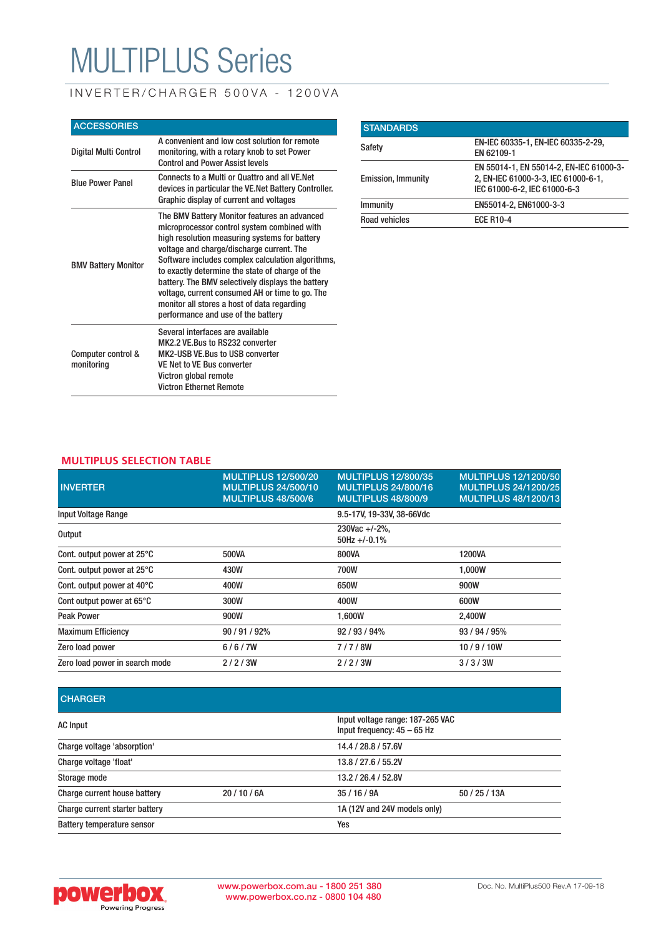# MULTIPLUS Series

## IN VERTER/ CHARGER 500 VA - 1200 VA

| <b>ACCESSORIES</b>               |                                                                                                                                                                                                                                                                                                                                                                                                                                                                                                |
|----------------------------------|------------------------------------------------------------------------------------------------------------------------------------------------------------------------------------------------------------------------------------------------------------------------------------------------------------------------------------------------------------------------------------------------------------------------------------------------------------------------------------------------|
| Digital Multi Control            | A convenient and low cost solution for remote<br>monitoring, with a rotary knob to set Power<br><b>Control and Power Assist levels</b>                                                                                                                                                                                                                                                                                                                                                         |
| <b>Blue Power Panel</b>          | Connects to a Multi or Quattro and all VE Net<br>devices in particular the VE. Net Battery Controller.<br>Graphic display of current and voltages                                                                                                                                                                                                                                                                                                                                              |
| <b>BMV Battery Monitor</b>       | The BMV Battery Monitor features an advanced<br>microprocessor control system combined with<br>high resolution measuring systems for battery<br>voltage and charge/discharge current. The<br>Software includes complex calculation algorithms,<br>to exactly determine the state of charge of the<br>battery. The BMV selectively displays the battery<br>voltage, current consumed AH or time to go. The<br>monitor all stores a host of data regarding<br>performance and use of the battery |
| Computer control &<br>monitoring | Several interfaces are available<br>MK2.2 VE Bus to RS232 converter<br><b>MK2-USB VE.Bus to USB converter</b><br>VE Net to VE Bus converter<br>Victron global remote<br><b>Victron Ethernet Remote</b>                                                                                                                                                                                                                                                                                         |

| <b>STANDARDS</b>          |                                                                                                                |
|---------------------------|----------------------------------------------------------------------------------------------------------------|
| Safety                    | EN-IEC 60335-1, EN-IEC 60335-2-29,<br>EN 62109-1                                                               |
| <b>Emission, Immunity</b> | EN 55014-1, EN 55014-2, EN-IEC 61000-3-<br>2, EN-IEC 61000-3-3, IEC 61000-6-1,<br>IEC 61000-6-2. IEC 61000-6-3 |
| <b>Immunity</b>           | EN55014-2, EN61000-3-3                                                                                         |
| <b>Road vehicles</b>      | <b>ECE R10-4</b>                                                                                               |

### **MULTIPLUS SELECTION TABLE**

| <b>INVERTER</b>                | <b>MULTIPLUS 12/500/20</b><br><b>MULTIPLUS 24/500/10</b><br><b>MULTIPLUS 48/500/6</b> | <b>MULTIPLUS 12/800/35</b><br><b>MULTIPLUS 24/800/16</b><br><b>MULTIPLUS 48/800/9</b> | <b>MULTIPLUS 12/1200/50</b><br><b>MULTIPLUS 24/1200/25</b><br><b>MULTIPLUS 48/1200/13</b> |
|--------------------------------|---------------------------------------------------------------------------------------|---------------------------------------------------------------------------------------|-------------------------------------------------------------------------------------------|
| <b>Input Voltage Range</b>     |                                                                                       | 9.5-17V, 19-33V, 38-66Vdc                                                             |                                                                                           |
| Output                         |                                                                                       | $230$ Vac +/-2%,<br>$50Hz +/-0.1%$                                                    |                                                                                           |
| Cont. output power at 25°C     | 500VA                                                                                 | 800VA                                                                                 | 1200VA                                                                                    |
| Cont. output power at 25°C     | 430W                                                                                  | 700W                                                                                  | 1,000W                                                                                    |
| Cont. output power at 40°C     | 400W                                                                                  | 650W                                                                                  | 900W                                                                                      |
| Cont output power at 65°C      | 300W                                                                                  | 400W                                                                                  | 600W                                                                                      |
| <b>Peak Power</b>              | 900W                                                                                  | 1,600W                                                                                | 2,400W                                                                                    |
| <b>Maximum Efficiency</b>      | 90/91/92%                                                                             | 92/93/94%                                                                             | 93 / 94 / 95%                                                                             |
| Zero load power                | 6/6/7W                                                                                | 7/7/8W                                                                                | 10/9/10W                                                                                  |
| Zero load power in search mode | 2/2/3W                                                                                | 2/2/3W                                                                                | 3/3/3W                                                                                    |
|                                |                                                                                       |                                                                                       |                                                                                           |

| <b>CHARGER</b>                    |          |                                                                   |               |
|-----------------------------------|----------|-------------------------------------------------------------------|---------------|
| <b>AC Input</b>                   |          | Input voltage range: 187-265 VAC<br>Input frequency: $45 - 65$ Hz |               |
| Charge voltage 'absorption'       |          | 14.4 / 28.8 / 57.6V                                               |               |
| Charge voltage 'float'            |          | 13.8 / 27.6 / 55.2V                                               |               |
| Storage mode                      |          | 13.2 / 26.4 / 52.8V                                               |               |
| Charge current house battery      | 20/10/6A | 35/16/9A                                                          | 50 / 25 / 13A |
| Charge current starter battery    |          | 1A (12V and 24V models only)                                      |               |
| <b>Battery temperature sensor</b> |          | Yes                                                               |               |